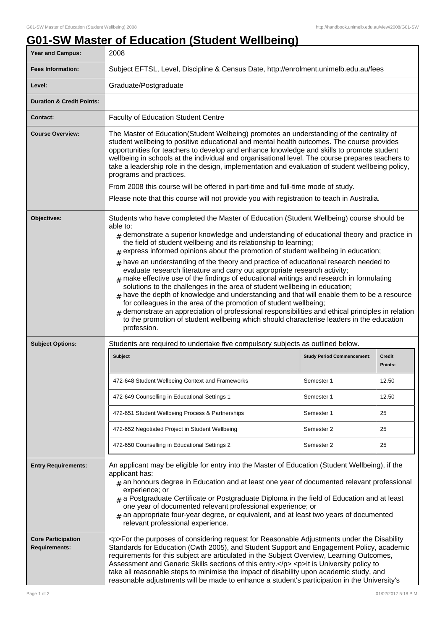## **G01-SW Master of Education (Student Wellbeing)**

| Year and Campus:                                  | 2008                                                                                                                                                                                                                                                                                                                                                                                                                                                                                                                                                                                                                                                                                                                                                                                                                                                                                                                                                                                                                                                                                                                  |                                   |                   |
|---------------------------------------------------|-----------------------------------------------------------------------------------------------------------------------------------------------------------------------------------------------------------------------------------------------------------------------------------------------------------------------------------------------------------------------------------------------------------------------------------------------------------------------------------------------------------------------------------------------------------------------------------------------------------------------------------------------------------------------------------------------------------------------------------------------------------------------------------------------------------------------------------------------------------------------------------------------------------------------------------------------------------------------------------------------------------------------------------------------------------------------------------------------------------------------|-----------------------------------|-------------------|
| <b>Fees Information:</b>                          | Subject EFTSL, Level, Discipline & Census Date, http://enrolment.unimelb.edu.au/fees                                                                                                                                                                                                                                                                                                                                                                                                                                                                                                                                                                                                                                                                                                                                                                                                                                                                                                                                                                                                                                  |                                   |                   |
| Level:                                            | Graduate/Postgraduate                                                                                                                                                                                                                                                                                                                                                                                                                                                                                                                                                                                                                                                                                                                                                                                                                                                                                                                                                                                                                                                                                                 |                                   |                   |
| <b>Duration &amp; Credit Points:</b>              |                                                                                                                                                                                                                                                                                                                                                                                                                                                                                                                                                                                                                                                                                                                                                                                                                                                                                                                                                                                                                                                                                                                       |                                   |                   |
| Contact:                                          | <b>Faculty of Education Student Centre</b>                                                                                                                                                                                                                                                                                                                                                                                                                                                                                                                                                                                                                                                                                                                                                                                                                                                                                                                                                                                                                                                                            |                                   |                   |
| <b>Course Overview:</b>                           | The Master of Education(Student Welbeing) promotes an understanding of the centrality of<br>student wellbeing to positive educational and mental health outcomes. The course provides<br>opportunities for teachers to develop and enhance knowledge and skills to promote student<br>wellbeing in schools at the individual and organisational level. The course prepares teachers to<br>take a leadership role in the design, implementation and evaluation of student wellbeing policy,<br>programs and practices.<br>From 2008 this course will be offered in part-time and full-time mode of study.<br>Please note that this course will not provide you with registration to teach in Australia.                                                                                                                                                                                                                                                                                                                                                                                                                |                                   |                   |
| <b>Objectives:</b>                                | Students who have completed the Master of Education (Student Wellbeing) course should be<br>able to:<br>$#$ demonstrate a superior knowledge and understanding of educational theory and practice in<br>the field of student wellbeing and its relationship to learning;<br>$#$ express informed opinions about the promotion of student wellbeing in education;<br>$#$ have an understanding of the theory and practice of educational research needed to<br>evaluate research literature and carry out appropriate research activity;<br>$_{\text{\#}}$ make effective use of the findings of educational writings and research in formulating<br>solutions to the challenges in the area of student wellbeing in education;<br>$_{\#}$ have the depth of knowledge and understanding and that will enable them to be a resource<br>for colleagues in the area of the promotion of student wellbeing;<br>demonstrate an appreciation of professional responsibilities and ethical principles in relation<br>to the promotion of student wellbeing which should characterise leaders in the education<br>profession. |                                   |                   |
| <b>Subject Options:</b>                           | Students are required to undertake five compulsory subjects as outlined below.                                                                                                                                                                                                                                                                                                                                                                                                                                                                                                                                                                                                                                                                                                                                                                                                                                                                                                                                                                                                                                        |                                   |                   |
|                                                   | <b>Subject</b>                                                                                                                                                                                                                                                                                                                                                                                                                                                                                                                                                                                                                                                                                                                                                                                                                                                                                                                                                                                                                                                                                                        | <b>Study Period Commencement:</b> | Credit<br>Points: |
|                                                   | 472-648 Student Wellbeing Context and Frameworks                                                                                                                                                                                                                                                                                                                                                                                                                                                                                                                                                                                                                                                                                                                                                                                                                                                                                                                                                                                                                                                                      | Semester 1                        | 12.50             |
|                                                   | 472-649 Counselling in Educational Settings 1                                                                                                                                                                                                                                                                                                                                                                                                                                                                                                                                                                                                                                                                                                                                                                                                                                                                                                                                                                                                                                                                         | Semester 1                        | 12.50             |
|                                                   | 472-651 Student Wellbeing Process & Partnerships                                                                                                                                                                                                                                                                                                                                                                                                                                                                                                                                                                                                                                                                                                                                                                                                                                                                                                                                                                                                                                                                      | Semester 1                        | 25                |
|                                                   | 472-652 Negotiated Project in Student Wellbeing                                                                                                                                                                                                                                                                                                                                                                                                                                                                                                                                                                                                                                                                                                                                                                                                                                                                                                                                                                                                                                                                       | Semester 2                        | 25                |
|                                                   | 472-650 Counselling in Educational Settings 2                                                                                                                                                                                                                                                                                                                                                                                                                                                                                                                                                                                                                                                                                                                                                                                                                                                                                                                                                                                                                                                                         | Semester 2                        | 25                |
| <b>Entry Requirements:</b>                        | An applicant may be eligible for entry into the Master of Education (Student Wellbeing), if the<br>applicant has:<br>$#$ an honours degree in Education and at least one year of documented relevant professional<br>experience; or<br>$_{\#}$ a Postgraduate Certificate or Postgraduate Diploma in the field of Education and at least<br>one year of documented relevant professional experience; or<br>$*$ an appropriate four-year degree, or equivalent, and at least two years of documented<br>relevant professional experience.                                                                                                                                                                                                                                                                                                                                                                                                                                                                                                                                                                              |                                   |                   |
| <b>Core Participation</b><br><b>Requirements:</b> | <p>For the purposes of considering request for Reasonable Adjustments under the Disability<br/>Standards for Education (Cwth 2005), and Student Support and Engagement Policy, academic<br/>requirements for this subject are articulated in the Subject Overview, Learning Outcomes,<br/>Assessment and Generic Skills sections of this entry.</p> <p>&gt; <p>lt is University policy to<br/>take all reasonable steps to minimise the impact of disability upon academic study, and<br/>reasonable adjustments will be made to enhance a student's participation in the University's</p></p>                                                                                                                                                                                                                                                                                                                                                                                                                                                                                                                        |                                   |                   |